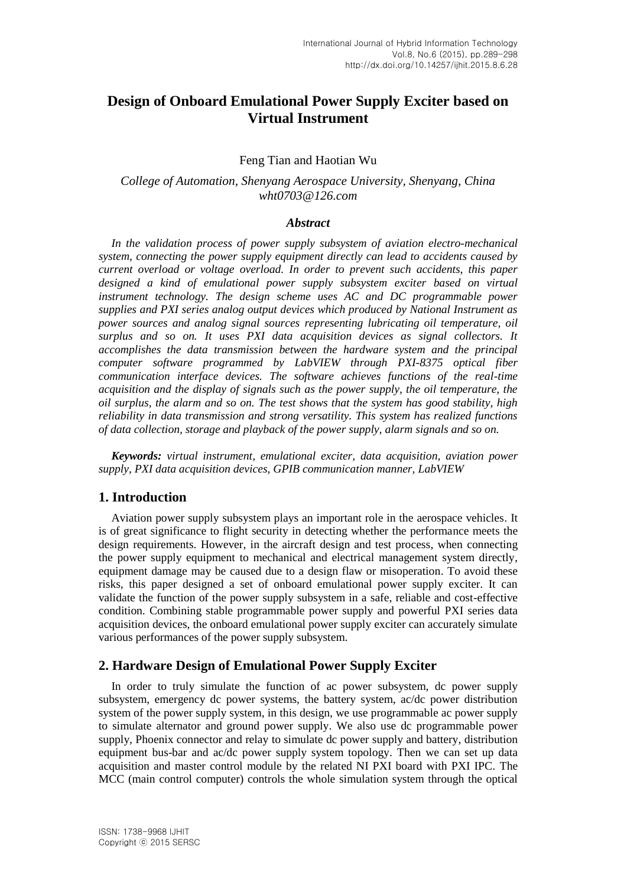# **Design of Onboard Emulational Power Supply Exciter based on Virtual Instrument**

#### Feng Tian and Haotian Wu

## *College of Automation, Shenyang Aerospace University, Shenyang, China wht0703@126.com*

#### *Abstract*

*In the validation process of power supply subsystem of aviation electro-mechanical system, connecting the power supply equipment directly can lead to accidents caused by current overload or voltage overload. In order to prevent such accidents, this paper designed a kind of emulational power supply subsystem exciter based on virtual instrument technology. The design scheme uses AC and DC programmable power supplies and PXI series analog output devices which produced by National Instrument as power sources and analog signal sources representing lubricating oil temperature, oil surplus and so on. It uses PXI data acquisition devices as signal collectors. It accomplishes the data transmission between the hardware system and the principal computer software programmed by LabVIEW through PXI-8375 optical fiber communication interface devices. The software achieves functions of the real-time acquisition and the display of signals such as the power supply, the oil temperature, the oil surplus, the alarm and so on. The test shows that the system has good stability, high reliability in data transmission and strong versatility. This system has realized functions of data collection, storage and playback of the power supply, alarm signals and so on.*

*Keywords: virtual instrument, emulational exciter, data acquisition, aviation power supply, PXI data acquisition devices, GPIB communication manner, LabVIEW*

### **1. Introduction**

Aviation power supply subsystem plays an important role in the aerospace vehicles. It is of great significance to flight security in detecting whether the performance meets the design requirements. However, in the aircraft design and test process, when connecting the power supply equipment to mechanical and electrical management system directly, equipment damage may be caused due to a design flaw or misoperation. To avoid these risks, this paper designed a set of onboard emulational power supply exciter. It can validate the function of the power supply subsystem in a safe, reliable and cost-effective condition. Combining stable programmable power supply and powerful PXI series data acquisition devices, the onboard emulational power supply exciter can accurately simulate various performances of the power supply subsystem.

#### **2. Hardware Design of Emulational Power Supply Exciter**

In order to truly simulate the function of ac power subsystem, dc power supply subsystem, emergency dc power systems, the battery system, ac/dc power distribution system of the power supply system, in this design, we use programmable ac power supply to simulate alternator and ground power supply. We also use dc programmable power supply, Phoenix connector and relay to simulate dc power supply and battery, distribution equipment bus-bar and ac/dc power supply system topology. Then we can set up data acquisition and master control module by the related NI PXI board with PXI IPC. The MCC (main control computer) controls the whole simulation system through the optical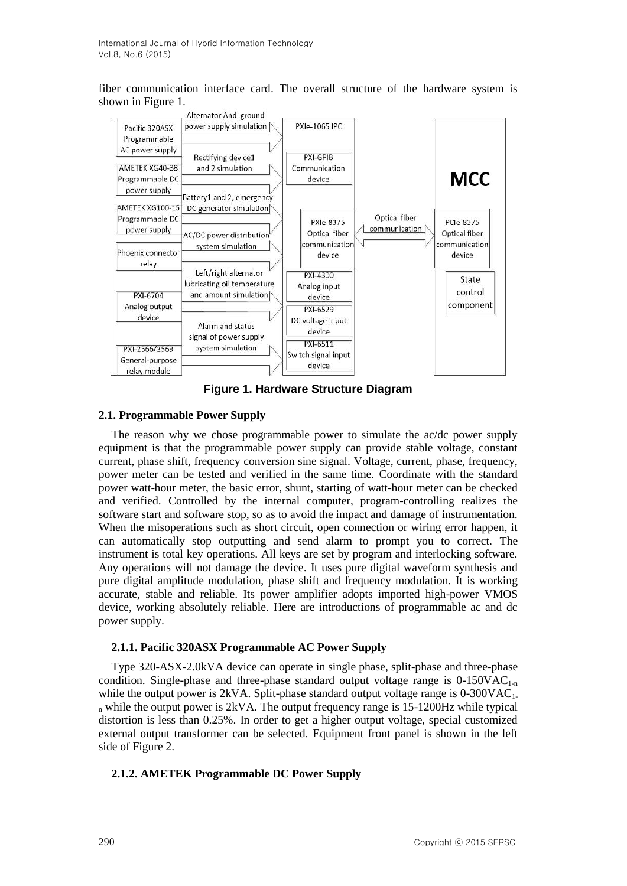fiber communication interface card. The overall structure of the hardware system is shown in Figure 1.



**Figure 1. Hardware Structure Diagram**

## **2.1. Programmable Power Supply**

The reason why we chose programmable power to simulate the ac/dc power supply equipment is that the programmable power supply can provide stable voltage, constant current, phase shift, frequency conversion sine signal. Voltage, current, phase, frequency, power meter can be tested and verified in the same time. Coordinate with the standard power watt-hour meter, the basic error, shunt, starting of watt-hour meter can be checked and verified. Controlled by the internal computer, program-controlling realizes the software start and software stop, so as to avoid the impact and damage of instrumentation. When the misoperations such as short circuit, open connection or wiring error happen, it can automatically stop outputting and send alarm to prompt you to correct. The instrument is total key operations. All keys are set by program and interlocking software. Any operations will not damage the device. It uses pure digital waveform synthesis and pure digital amplitude modulation, phase shift and frequency modulation. It is working accurate, stable and reliable. Its power amplifier adopts imported high-power VMOS device, working absolutely reliable. Here are introductions of programmable ac and dc power supply.

## **2.1.1. Pacific 320ASX Programmable AC Power Supply**

Type 320-ASX-2.0kVA device can operate in single phase, split-phase and three-phase condition. Single-phase and three-phase standard output voltage range is  $0-150\text{VAC}_{1-n}$ while the output power is  $2kVA$ . Split-phase standard output voltage range is  $0-300VAC<sub>1</sub>$ .  $n_n$  while the output power is 2kVA. The output frequency range is 15-1200Hz while typical distortion is less than 0.25%. In order to get a higher output voltage, special customized external output transformer can be selected. Equipment front panel is shown in the left side of Figure 2.

## **2.1.2. AMETEK Programmable DC Power Supply**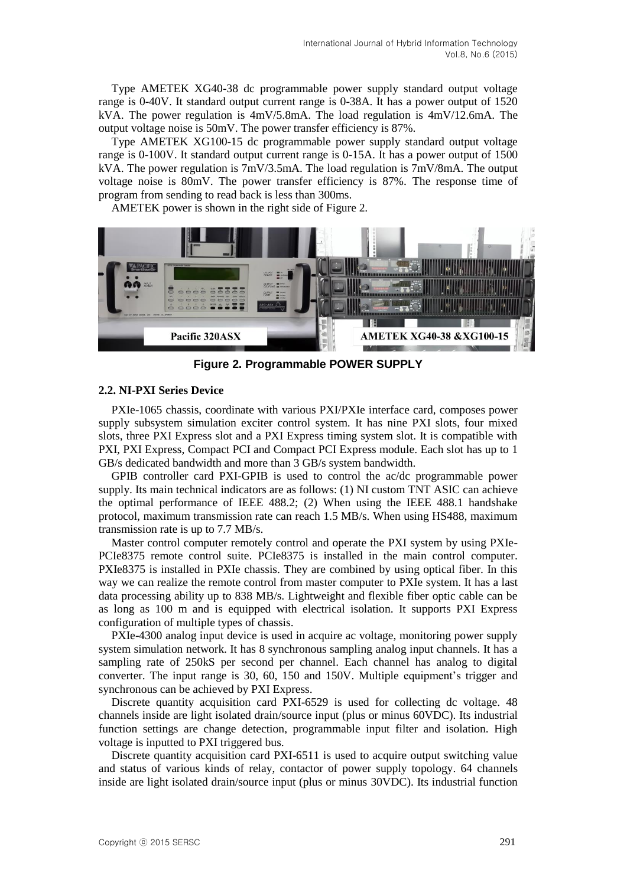Type AMETEK XG40-38 dc programmable power supply standard output voltage range is 0-40V. It standard output current range is 0-38A. It has a power output of 1520 kVA. The power regulation is  $4mV/5.8mA$ . The load regulation is  $4mV/12.6mA$ . The output voltage noise is 50mV. The power transfer efficiency is 87%.

Type AMETEK XG100-15 dc programmable power supply standard output voltage range is 0-100V. It standard output current range is 0-15A. It has a power output of 1500 kVA. The power regulation is 7mV/3.5mA. The load regulation is 7mV/8mA. The output voltage noise is 80mV. The power transfer efficiency is 87%. The response time of program from sending to read back is less than 300ms.

AMETEK power is shown in the right side of Figure 2.



**Figure 2. Programmable POWER SUPPLY**

## **2.2. NI-PXI Series Device**

PXIe-1065 chassis, coordinate with various PXI/PXIe interface card, composes power supply subsystem simulation exciter control system. It has nine PXI slots, four mixed slots, three PXI Express slot and a PXI Express timing system slot. It is compatible with PXI, PXI Express, Compact PCI and Compact PCI Express module. Each slot has up to 1 GB/s dedicated bandwidth and more than 3 GB/s system bandwidth.

GPIB controller card PXI-GPIB is used to control the ac/dc programmable power supply. Its main technical indicators are as follows: (1) NI custom TNT ASIC can achieve the optimal performance of IEEE 488.2; (2) When using the IEEE 488.1 handshake protocol, maximum transmission rate can reach 1.5 MB/s. When using HS488, maximum transmission rate is up to 7.7 MB/s.

Master control computer remotely control and operate the PXI system by using PXIe-PCIe8375 remote control suite. PCIe8375 is installed in the main control computer. PXIe8375 is installed in PXIe chassis. They are combined by using optical fiber. In this way we can realize the remote control from master computer to PXIe system. It has a last data processing ability up to 838 MB/s. Lightweight and flexible fiber optic cable can be as long as 100 m and is equipped with electrical isolation. It supports PXI Express configuration of multiple types of chassis.

PXIe-4300 analog input device is used in acquire ac voltage, monitoring power supply system simulation network. It has 8 synchronous sampling analog input channels. It has a sampling rate of 250kS per second per channel. Each channel has analog to digital converter. The input range is 30, 60, 150 and 150V. Multiple equipment's trigger and synchronous can be achieved by PXI Express.

Discrete quantity acquisition card PXI-6529 is used for collecting dc voltage. 48 channels inside are light isolated drain/source input (plus or minus 60VDC). Its industrial function settings are change detection, programmable input filter and isolation. High voltage is inputted to PXI triggered bus.

Discrete quantity acquisition card PXI-6511 is used to acquire output switching value and status of various kinds of relay, contactor of power supply topology. 64 channels inside are light isolated drain/source input (plus or minus 30VDC). Its industrial function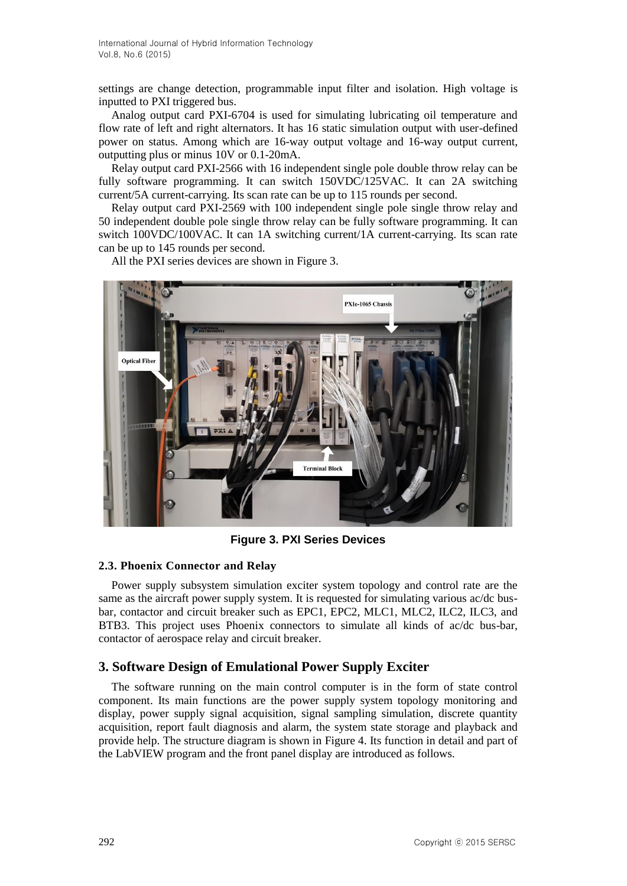settings are change detection, programmable input filter and isolation. High voltage is inputted to PXI triggered bus.

Analog output card PXI-6704 is used for simulating lubricating oil temperature and flow rate of left and right alternators. It has 16 static simulation output with user-defined power on status. Among which are 16-way output voltage and 16-way output current, outputting plus or minus 10V or 0.1-20mA.

Relay output card PXI-2566 with 16 independent single pole double throw relay can be fully software programming. It can switch 150VDC/125VAC. It can 2A switching current/5A current-carrying. Its scan rate can be up to 115 rounds per second.

Relay output card PXI-2569 with 100 independent single pole single throw relay and 50 independent double pole single throw relay can be fully software programming. It can switch 100VDC/100VAC. It can 1A switching current/1A current-carrying. Its scan rate can be up to 145 rounds per second.

All the PXI series devices are shown in Figure 3.



**Figure 3. PXI Series Devices**

## **2.3. Phoenix Connector and Relay**

Power supply subsystem simulation exciter system topology and control rate are the same as the aircraft power supply system. It is requested for simulating various ac/dc busbar, contactor and circuit breaker such as EPC1, EPC2, MLC1, MLC2, ILC2, ILC3, and BTB3. This project uses Phoenix connectors to simulate all kinds of ac/dc bus-bar, contactor of aerospace relay and circuit breaker.

## **3. Software Design of Emulational Power Supply Exciter**

The software running on the main control computer is in the form of state control component. Its main functions are the power supply system topology monitoring and display, power supply signal acquisition, signal sampling simulation, discrete quantity acquisition, report fault diagnosis and alarm, the system state storage and playback and provide help. The structure diagram is shown in Figure 4. Its function in detail and part of the LabVIEW program and the front panel display are introduced as follows.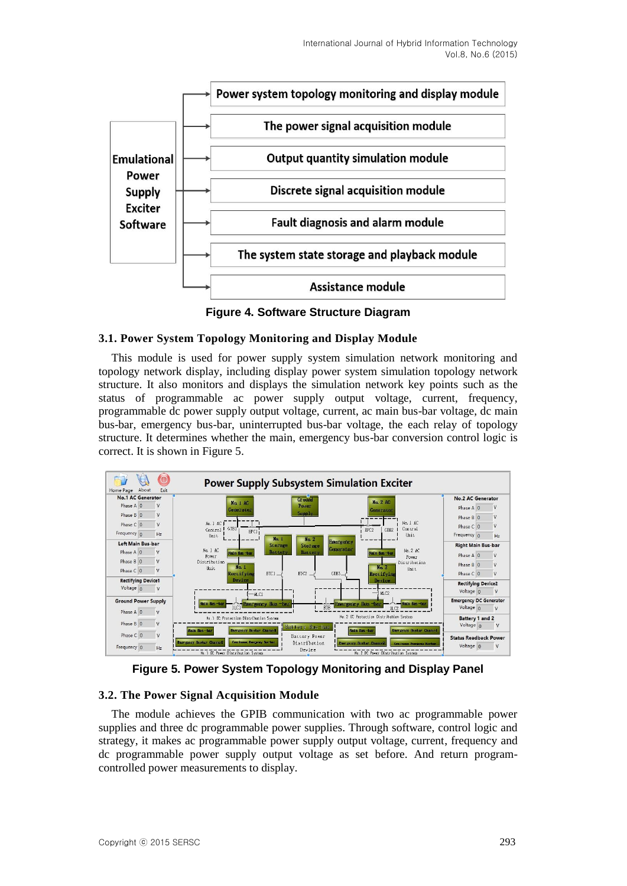

**Figure 4. Software Structure Diagram**

#### **3.1. Power System Topology Monitoring and Display Module**

This module is used for power supply system simulation network monitoring and topology network display, including display power system simulation topology network structure. It also monitors and displays the simulation network key points such as the status of programmable ac power supply output voltage, current, frequency, programmable dc power supply output voltage, current, ac main bus-bar voltage, dc main bus-bar, emergency bus-bar, uninterrupted bus-bar voltage, the each relay of topology structure. It determines whether the main, emergency bus-bar conversion control logic is correct. It is shown in Figure 5.



**Figure 5. Power System Topology Monitoring and Display Panel**

## **3.2. The Power Signal Acquisition Module**

The module achieves the GPIB communication with two ac programmable power supplies and three dc programmable power supplies. Through software, control logic and strategy, it makes ac programmable power supply output voltage, current, frequency and dc programmable power supply output voltage as set before. And return programcontrolled power measurements to display.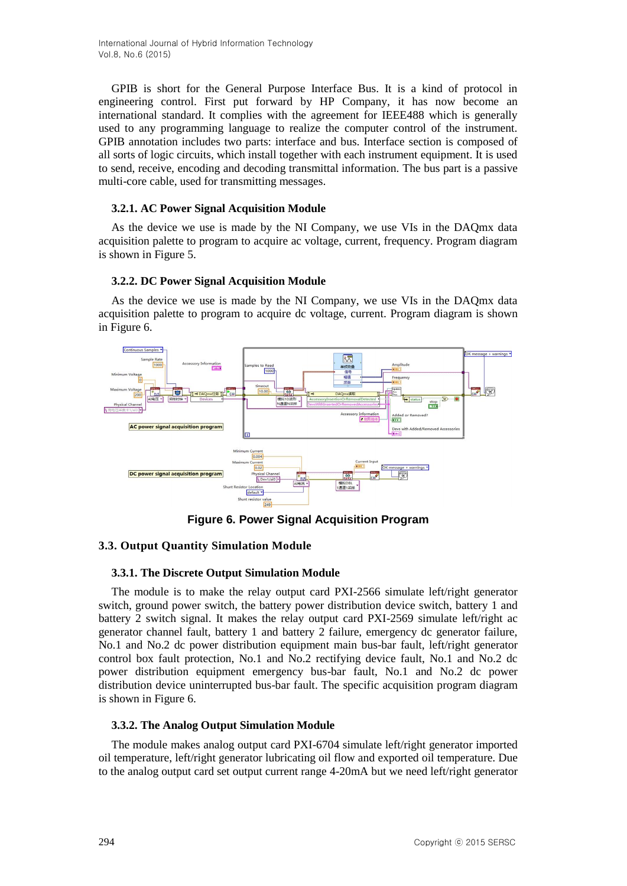International Journal of Hybrid Information Technology Vol.8, No.6 (2015)

GPIB is short for the General Purpose Interface Bus. It is a kind of protocol in engineering control. First put forward by HP Company, it has now become an international standard. It complies with the agreement for IEEE488 which is generally used to any programming language to realize the computer control of the instrument. GPIB annotation includes two parts: interface and bus. Interface section is composed of all sorts of logic circuits, which install together with each instrument equipment. It is used to send, receive, encoding and decoding transmittal information. The bus part is a passive multi-core cable, used for transmitting messages.

#### **3.2.1. AC Power Signal Acquisition Module**

As the device we use is made by the NI Company, we use VIs in the DAQmx data acquisition palette to program to acquire ac voltage, current, frequency. Program diagram is shown in Figure 5.

#### **3.2.2. DC Power Signal Acquisition Module**

As the device we use is made by the NI Company, we use VIs in the DAQmx data acquisition palette to program to acquire dc voltage, current. Program diagram is shown in Figure 6.



**Figure 6. Power Signal Acquisition Program**

## **3.3. Output Quantity Simulation Module**

## **3.3.1. The Discrete Output Simulation Module**

The module is to make the relay output card PXI-2566 simulate left/right generator switch, ground power switch, the battery power distribution device switch, battery 1 and battery 2 switch signal. It makes the relay output card PXI-2569 simulate left/right ac generator channel fault, battery 1 and battery 2 failure, emergency dc generator failure, No.1 and No.2 dc power distribution equipment main bus-bar fault, left/right generator control box fault protection, No.1 and No.2 rectifying device fault, No.1 and No.2 dc power distribution equipment emergency bus-bar fault, No.1 and No.2 dc power distribution device uninterrupted bus-bar fault. The specific acquisition program diagram is shown in Figure 6.

#### **3.3.2. The Analog Output Simulation Module**

The module makes analog output card PXI-6704 simulate left/right generator imported oil temperature, left/right generator lubricating oil flow and exported oil temperature. Due to the analog output card set output current range 4-20mA but we need left/right generator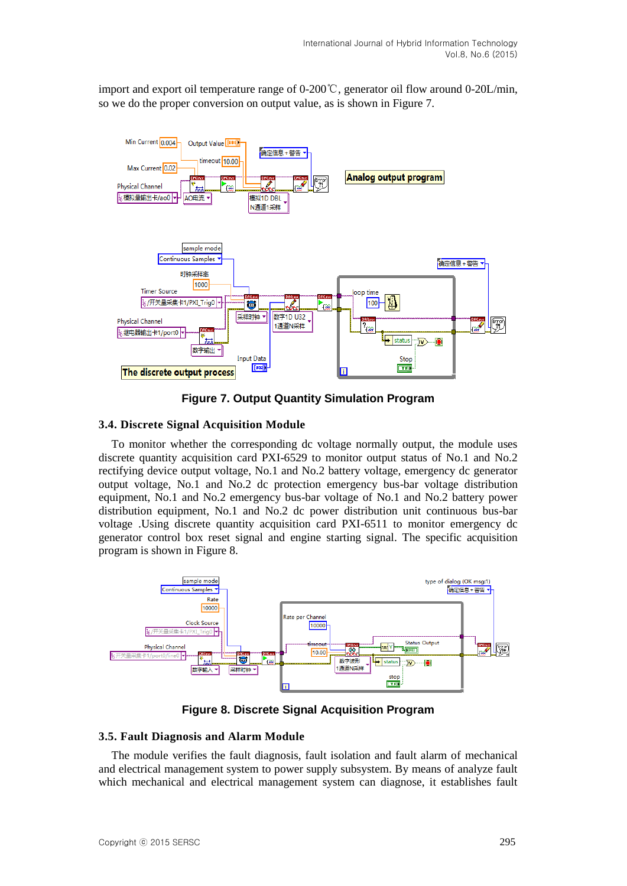import and export oil temperature range of 0-200℃, generator oil flow around 0-20L/min, so we do the proper conversion on output value, as is shown in Figure 7.



**Figure 7. Output Quantity Simulation Program**

#### **3.4. Discrete Signal Acquisition Module**

To monitor whether the corresponding dc voltage normally output, the module uses discrete quantity acquisition card PXI-6529 to monitor output status of No.1 and No.2 rectifying device output voltage, No.1 and No.2 battery voltage, emergency dc generator output voltage, No.1 and No.2 dc protection emergency bus-bar voltage distribution equipment, No.1 and No.2 emergency bus-bar voltage of No.1 and No.2 battery power distribution equipment, No.1 and No.2 dc power distribution unit continuous bus-bar voltage .Using discrete quantity acquisition card PXI-6511 to monitor emergency dc generator control box reset signal and engine starting signal. The specific acquisition program is shown in Figure 8.



**Figure 8. Discrete Signal Acquisition Program**

#### **3.5. Fault Diagnosis and Alarm Module**

The module verifies the fault diagnosis, fault isolation and fault alarm of mechanical and electrical management system to power supply subsystem. By means of analyze fault which mechanical and electrical management system can diagnose, it establishes fault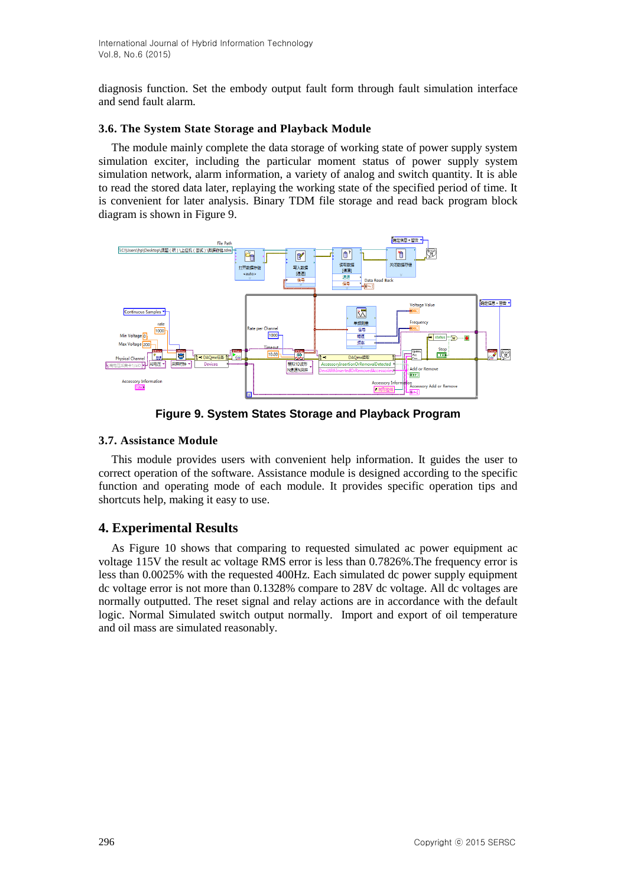diagnosis function. Set the embody output fault form through fault simulation interface and send fault alarm.

#### **3.6. The System State Storage and Playback Module**

The module mainly complete the data storage of working state of power supply system simulation exciter, including the particular moment status of power supply system simulation network, alarm information, a variety of analog and switch quantity. It is able to read the stored data later, replaying the working state of the specified period of time. It is convenient for later analysis. Binary TDM file storage and read back program block diagram is shown in Figure 9.



**Figure 9. System States Storage and Playback Program**

## **3.7. Assistance Module**

This module provides users with convenient help information. It guides the user to correct operation of the software. Assistance module is designed according to the specific function and operating mode of each module. It provides specific operation tips and shortcuts help, making it easy to use.

# **4. Experimental Results**

As Figure 10 shows that comparing to requested simulated ac power equipment ac voltage 115V the result ac voltage RMS error is less than 0.7826%.The frequency error is less than 0.0025% with the requested 400Hz. Each simulated dc power supply equipment dc voltage error is not more than 0.1328% compare to 28V dc voltage. All dc voltages are normally outputted. The reset signal and relay actions are in accordance with the default logic. Normal Simulated switch output normally. Import and export of oil temperature and oil mass are simulated reasonably.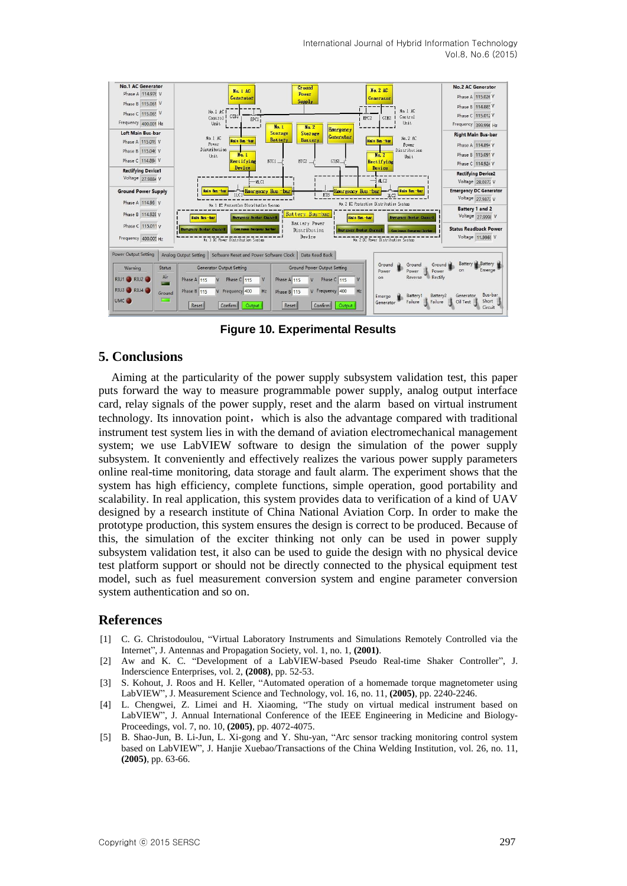International Journal of Hybrid Information Technology Vol.8, No.6 (2015)



**Figure 10. Experimental Results**

#### **5. Conclusions**

Aiming at the particularity of the power supply subsystem validation test, this paper puts forward the way to measure programmable power supply, analog output interface card, relay signals of the power supply, reset and the alarm based on virtual instrument technology. Its innovation point,which is also the advantage compared with traditional instrument test system lies in with the demand of aviation electromechanical management system; we use LabVIEW software to design the simulation of the power supply subsystem. It conveniently and effectively realizes the various power supply parameters online real-time monitoring, data storage and fault alarm. The experiment shows that the system has high efficiency, complete functions, simple operation, good portability and scalability. In real application, this system provides data to verification of a kind of UAV designed by a research institute of China National Aviation Corp. In order to make the prototype production, this system ensures the design is correct to be produced. Because of this, the simulation of the exciter thinking not only can be used in power supply subsystem validation test, it also can be used to guide the design with no physical device test platform support or should not be directly connected to the physical equipment test model, such as fuel measurement conversion system and engine parameter conversion system authentication and so on.

#### **References**

- [1] C. G. Christodoulou, "Virtual Laboratory Instruments and Simulations Remotely Controlled via the Internet", J. Antennas and Propagation Society, vol. 1, no. 1, **(2001)**.
- [2] Aw and K. C. "Development of a LabVIEW-based Pseudo Real-time Shaker Controller", J. Inderscience Enterprises, vol. 2, **(2008)**, pp. 52-53.
- [3] S. Kohout, J. Roos and H. Keller, "Automated operation of a homemade torque magnetometer using LabVIEW", J. Measurement Science and Technology, vol. 16, no. 11, **(2005)**, pp. 2240-2246.
- [4] L. Chengwei, Z. Limei and H. Xiaoming, "The study on virtual medical instrument based on LabVIEW", J. Annual International Conference of the IEEE Engineering in Medicine and Biology-Proceedings, vol. 7, no. 10, **(2005)**, pp. 4072-4075.
- [5] B. Shao-Jun, B. Li-Jun, L. Xi-gong and Y. Shu-yan, "Arc sensor tracking monitoring control system based on LabVIEW", J. Hanjie Xuebao/Transactions of the China Welding Institution, vol. 26, no. 11, **(2005)**, pp. 63-66.